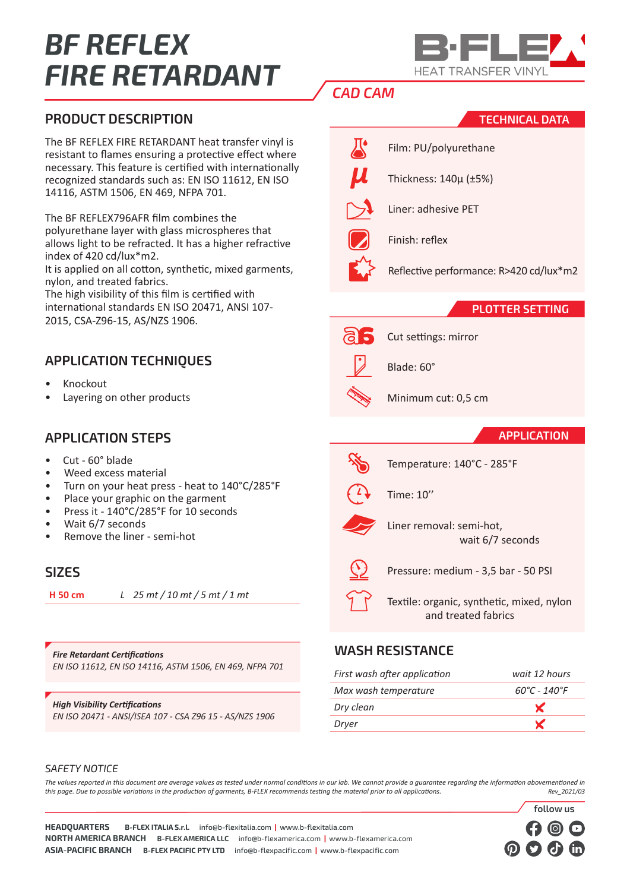# *BF REFLEX FIRE RETARDANT*



**TECHNICAL DATA**

# *CAD CAM*

π.

## **PRODUCT DESCRIPTION**

The BF REFLEX FIRE RETARDANT heat transfer vinyl is resistant to flames ensuring a protective effect where necessary. This feature is certified with internationally recognized standards such as: EN ISO 11612, EN ISO 14116, ASTM 1506, EN 469, NFPA 701.

The BF REFLEX796AFR film combines the polyurethane layer with glass microspheres that allows light to be refracted. It has a higher refractive index of 420 cd/lux\*m2.

It is applied on all cotton, synthetic, mixed garments, nylon, and treated fabrics.

The high visibility of this film is certified with international standards EN ISO 20471, ANSI 107- 2015, CSA-Z96-15, AS/NZS 1906.

# **APPLICATION TECHNIQUES**

- Knockout
- Layering on other products

## **APPLICATION STEPS**

- Cut 60° blade
- Weed excess material
- Turn on your heat press heat to 140°C/285°F
- Place your graphic on the garment
- Press it 140°C/285°F for 10 seconds
- Wait 6/7 seconds
- Remove the liner semi-hot

#### **SIZES**

**H 50 cm** *L 25 mt / 10 mt / 5 mt / 1 mt*

*Fire Retardant Certifications EN ISO 11612, EN ISO 14116, ASTM 1506, EN 469, NFPA 701*

*High Visibility Certifications EN ISO 20471 - ANSI/ISEA 107 - CSA Z96 15 - AS/NZS 1906*

|                    | Film: PU/polyuretha |
|--------------------|---------------------|
| $\boldsymbol{\mu}$ | Thickness: 140µ (±5 |
|                    | Liner: adhesive PET |
|                    | Finish: reflex      |
|                    |                     |

U/polvurethane

ess: 140μ (±5%)

Reflective performance: R>420 cd/lux\*m2

#### **PLOTTER SETTING**



Cut settings: mirror



Blade: 60°



#### **APPLICATION**

**follow us**



Temperature: 140°C - 285°F



Time: 10''



Liner removal: semi-hot, wait 6/7 seconds

Pressure: medium - 3,5 bar - 50 PSI

Textile: organic, synthetic, mixed, nylon and treated fabrics

#### **WASH RESISTANCE**

| First wash after application | wait 12 hours                     |
|------------------------------|-----------------------------------|
| Max wash temperature         | $60^{\circ}$ C - 140 $^{\circ}$ F |
| Dry clean                    | $\mathbf{x}$                      |
| Dryer                        | Y                                 |
|                              |                                   |

#### *SAFETY NOTICE*

*The values reported in this document are average values as tested under normal conditions in our lab. We cannot provide a guarantee regarding the information abovementioned in this page. Due to possible variations in the production of garments, B-FLEX recommends testing the material prior to all applications. Rev\_2021/03*

**HEADQUARTERS B-FLEX ITALIA S.r.l.** info@b-flexitalia.com **|** www.b-flexitalia.com **NORTH AMERICA BRANCH B-FLEX AMERICA LLC** info@b-flexamerica.com **|** www.b-flexamerica.com **ASIA-PACIFIC BRANCH B-FLEX PACIFIC PTY LTD** info@b-flexpacific.com **|** www.b-flexpacific.com